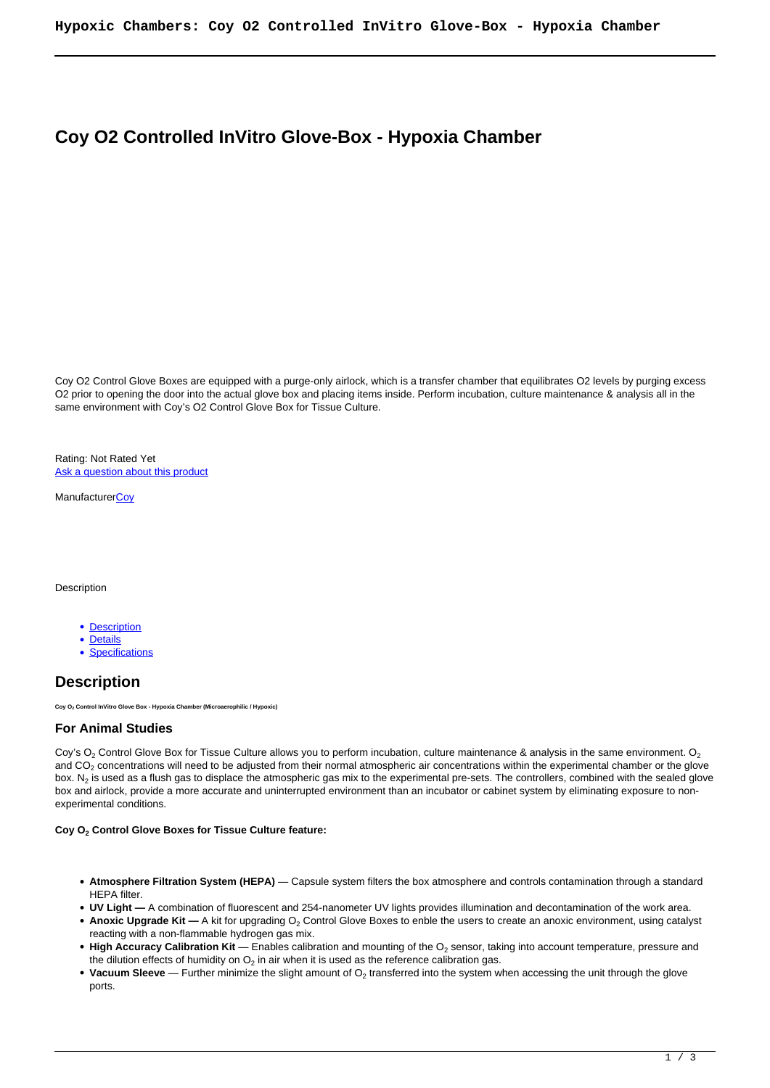# **Coy O2 Controlled InVitro Glove-Box - Hypoxia Chamber**

Coy O2 Control Glove Boxes are equipped with a purge-only airlock, which is a transfer chamber that equilibrates O2 levels by purging excess O2 prior to opening the door into the actual glove box and placing items inside. Perform incubation, culture maintenance & analysis all in the same environment with Coy's O2 Control Glove Box for Tissue Culture.

Rating: Not Rated Yet Ask a question about this product

**ManufacturerCoy** 

Description

- Description
- Details
- Specifications

## **Description**

**Coy O2 Control InVitro Glove Box - Hypoxia Chamber (Microaerophilic / Hypoxic)**

### **For Animal Studies**

Coy's  $O_2$  Control Glove Box for Tissue Culture allows you to perform incubation, culture maintenance & analysis in the same environment.  $O_2$ and CO<sub>2</sub> concentrations will need to be adjusted from their normal atmospheric air concentrations within the experimental chamber or the glove box. N $_2$  is used as a flush gas to displace the atmospheric gas mix to the experimental pre-sets. The controllers, combined with the sealed glove box and airlock, provide a more accurate and uninterrupted environment than an incubator or cabinet system by eliminating exposure to nonexperimental conditions.

### **Coy O<sup>2</sup> Control Glove Boxes for Tissue Culture feature:**

- **Atmosphere Filtration System (HEPA)** Capsule system filters the box atmosphere and controls contamination through a standard HEPA filter.
- **UV Light —** A combination of fluorescent and 254-nanometer UV lights provides illumination and decontamination of the work area.
- **Anoxic Upgrade Kit** A kit for upgrading O<sub>2</sub> Control Glove Boxes to enble the users to create an anoxic environment, using catalyst reacting with a non-flammable hydrogen gas mix.
- **High Accuracy Calibration Kit** Enables calibration and mounting of the O<sub>2</sub> sensor, taking into account temperature, pressure and the dilution effects of humidity on  $\mathsf{O}_2$  in air when it is used as the reference calibration gas.
- **Vacuum Sleeve** Further minimize the slight amount of O<sub>2</sub> transferred into the system when accessing the unit through the glove ports.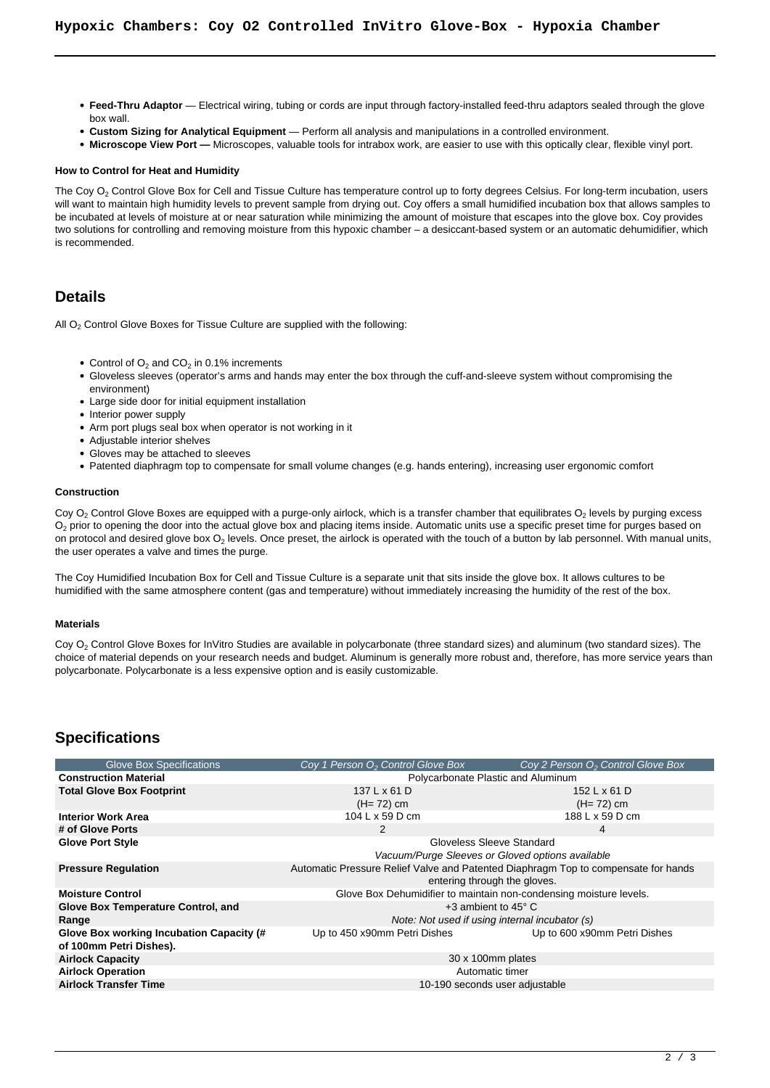- **Feed-Thru Adaptor** Electrical wiring, tubing or cords are input through factory-installed feed-thru adaptors sealed through the glove box wall.
- **Custom Sizing for Analytical Equipment** Perform all analysis and manipulations in a controlled environment.
- **Microscope View Port —** Microscopes, valuable tools for intrabox work, are easier to use with this optically clear, flexible vinyl port.

#### **How to Control for Heat and Humidity**

The Coy  $\mathrm{O}_2$  Control Glove Box for Cell and Tissue Culture has temperature control up to forty degrees Celsius. For long-term incubation, users will want to maintain high humidity levels to prevent sample from drying out. Coy offers a small humidified incubation box that allows samples to be incubated at levels of moisture at or near saturation while minimizing the amount of moisture that escapes into the glove box. Coy provides two solutions for controlling and removing moisture from this hypoxic chamber – a desiccant-based system or an automatic dehumidifier, which is recommended.

## **Details**

All O<sub>2</sub> Control Glove Boxes for Tissue Culture are supplied with the following:

- Control of  $O_2$  and  $CO_2$  in 0.1% increments
- Gloveless sleeves (operator's arms and hands may enter the box through the cuff-and-sleeve system without compromising the environment)
- Large side door for initial equipment installation
- Interior power supply
- Arm port plugs seal box when operator is not working in it
- Adjustable interior shelves
- Gloves may be attached to sleeves
- Patented diaphragm top to compensate for small volume changes (e.g. hands entering), increasing user ergonomic comfort

#### **Construction**

Coy O $_2$  Control Glove Boxes are equipped with a purge-only airlock, which is a transfer chamber that equilibrates O $_2$  levels by purging excess  $\mathsf{O}_2$  prior to opening the door into the actual glove box and placing items inside. Automatic units use a specific preset time for purges based on on protocol and desired glove box O<sub>2</sub> levels. Once preset, the airlock is operated with the touch of a button by lab personnel. With manual units, the user operates a valve and times the purge.

The Coy Humidified Incubation Box for Cell and Tissue Culture is a separate unit that sits inside the glove box. It allows cultures to be humidified with the same atmosphere content (gas and temperature) without immediately increasing the humidity of the rest of the box.

#### **Materials**

Coy O<sub>2</sub> Control Glove Boxes for InVitro Studies are available in polycarbonate (three standard sizes) and aluminum (two standard sizes). The choice of material depends on your research needs and budget. Aluminum is generally more robust and, therefore, has more service years than polycarbonate. Polycarbonate is a less expensive option and is easily customizable.

## **Specifications**

| <b>Glove Box Specifications</b>          | Coy 1 Person O <sub>2</sub> Control Glove Box                                                                      | Coy 2 Person O <sub>2</sub> Control Glove Box |
|------------------------------------------|--------------------------------------------------------------------------------------------------------------------|-----------------------------------------------|
| <b>Construction Material</b>             | Polycarbonate Plastic and Aluminum                                                                                 |                                               |
| <b>Total Glove Box Footprint</b>         | 137 L x 61 D                                                                                                       | 152 L x 61 D                                  |
|                                          | $(H= 72)$ cm                                                                                                       | $(H=72)$ cm                                   |
| <b>Interior Work Area</b>                | 104 L x 59 D cm                                                                                                    | 188 L x 59 D cm                               |
| # of Glove Ports                         | 2                                                                                                                  | 4                                             |
| <b>Glove Port Style</b>                  | Gloveless Sleeve Standard                                                                                          |                                               |
|                                          | Vacuum/Purge Sleeves or Gloved options available                                                                   |                                               |
| <b>Pressure Regulation</b>               | Automatic Pressure Relief Valve and Patented Diaphragm Top to compensate for hands<br>entering through the gloves. |                                               |
|                                          |                                                                                                                    |                                               |
| <b>Moisture Control</b>                  | Glove Box Dehumidifier to maintain non-condensing moisture levels.                                                 |                                               |
| Glove Box Temperature Control, and       | $+3$ ambient to 45 $^{\circ}$ C                                                                                    |                                               |
| Range                                    | Note: Not used if using internal incubator (s)                                                                     |                                               |
| Glove Box working Incubation Capacity (# | Up to 450 x90mm Petri Dishes                                                                                       | Up to 600 x90mm Petri Dishes                  |
| of 100mm Petri Dishes).                  |                                                                                                                    |                                               |
| <b>Airlock Capacity</b>                  | 30 x 100mm plates                                                                                                  |                                               |
| <b>Airlock Operation</b>                 | Automatic timer                                                                                                    |                                               |
| <b>Airlock Transfer Time</b>             | 10-190 seconds user adjustable                                                                                     |                                               |